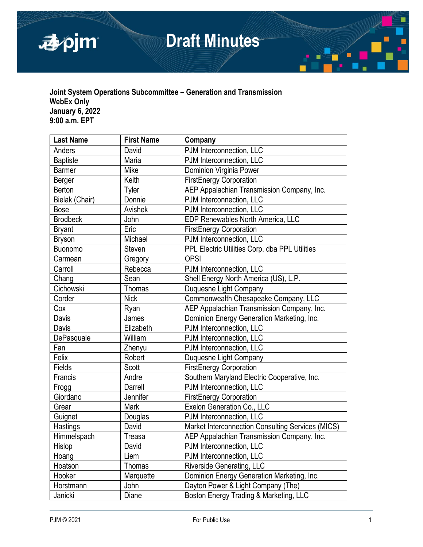

# **Draft Minutes**

## **Joint System Operations Subcommittee – Generation and Transmission WebEx Only January 6, 2022 9:00 a.m. EPT**

| <b>Last Name</b> | <b>First Name</b> | Company                                           |  |
|------------------|-------------------|---------------------------------------------------|--|
| Anders           | David             | PJM Interconnection, LLC                          |  |
| <b>Baptiste</b>  | Maria             | PJM Interconnection, LLC                          |  |
| <b>Barmer</b>    | Mike              | Dominion Virginia Power                           |  |
| Berger           | Keith             | <b>FirstEnergy Corporation</b>                    |  |
| <b>Berton</b>    | Tyler             | AEP Appalachian Transmission Company, Inc.        |  |
| Bielak (Chair)   | Donnie            | PJM Interconnection, LLC                          |  |
| <b>Bose</b>      | Avishek           | PJM Interconnection, LLC                          |  |
| <b>Brodbeck</b>  | John              | <b>EDP Renewables North America, LLC</b>          |  |
| <b>Bryant</b>    | Eric              | <b>FirstEnergy Corporation</b>                    |  |
| <b>Bryson</b>    | Michael           | PJM Interconnection, LLC                          |  |
| Buonomo          | Steven            | PPL Electric Utilities Corp. dba PPL Utilities    |  |
| Carmean          | Gregory           | <b>OPSI</b>                                       |  |
| Carroll          | Rebecca           | PJM Interconnection, LLC                          |  |
| Chang            | Sean              | Shell Energy North America (US), L.P.             |  |
| Cichowski        | Thomas            | Duquesne Light Company                            |  |
| Corder           | <b>Nick</b>       | Commonwealth Chesapeake Company, LLC              |  |
| Cox              | Ryan              | AEP Appalachian Transmission Company, Inc.        |  |
| Davis            | James             | Dominion Energy Generation Marketing, Inc.        |  |
| Davis            | Elizabeth         | PJM Interconnection, LLC                          |  |
| DePasquale       | William           | PJM Interconnection, LLC                          |  |
| Fan              | Zhenyu            | PJM Interconnection, LLC                          |  |
| Felix            | Robert            | Duquesne Light Company                            |  |
| Fields           | Scott             | <b>FirstEnergy Corporation</b>                    |  |
| Francis          | Andre             | Southern Maryland Electric Cooperative, Inc.      |  |
| Frogg            | Darrell           | PJM Interconnection, LLC                          |  |
| Giordano         | Jennifer          | <b>FirstEnergy Corporation</b>                    |  |
| Grear            | Mark              | Exelon Generation Co., LLC                        |  |
| Guignet          | Douglas           | PJM Interconnection, LLC                          |  |
| Hastings         | David             | Market Interconnection Consulting Services (MICS) |  |
| Himmelspach      | Treasa            | AEP Appalachian Transmission Company, Inc.        |  |
| <b>Hislop</b>    | David             | PJM Interconnection, LLC                          |  |
| Hoang            | Liem              | PJM Interconnection, LLC                          |  |
| Hoatson          | <b>Thomas</b>     | Riverside Generating, LLC                         |  |
| Hooker           | Marquette         | Dominion Energy Generation Marketing, Inc.        |  |
| Horstmann        | John              | Dayton Power & Light Company (The)                |  |
| Janicki          | Diane             | Boston Energy Trading & Marketing, LLC            |  |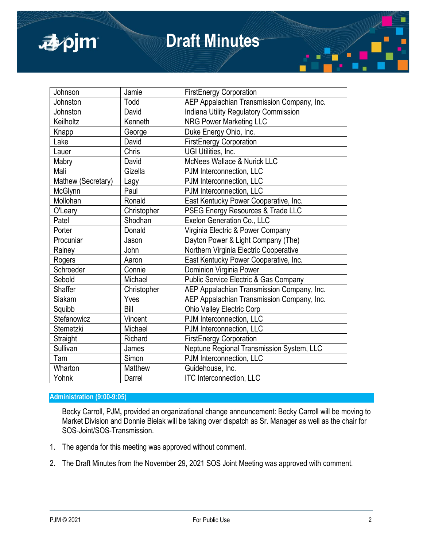

## **Draft Minutes**

| Johnson            | Jamie       | <b>FirstEnergy Corporation</b>                   |
|--------------------|-------------|--------------------------------------------------|
| Johnston           | Todd        | AEP Appalachian Transmission Company, Inc.       |
| Johnston           | David       | Indiana Utility Regulatory Commission            |
| Keilholtz          | Kenneth     | <b>NRG Power Marketing LLC</b>                   |
| Knapp              | George      | Duke Energy Ohio, Inc.                           |
| Lake               | David       | <b>FirstEnergy Corporation</b>                   |
| Lauer              | Chris       | UGI Utilities, Inc.                              |
| Mabry              | David       | McNees Wallace & Nurick LLC                      |
| Mali               | Gizella     | PJM Interconnection, LLC                         |
| Mathew (Secretary) | Lagy        | PJM Interconnection, LLC                         |
| McGlynn            | Paul        | PJM Interconnection, LLC                         |
| Mollohan           | Ronald      | East Kentucky Power Cooperative, Inc.            |
| O'Leary            | Christopher | PSEG Energy Resources & Trade LLC                |
| Patel              | Shodhan     | Exelon Generation Co., LLC                       |
| Porter             | Donald      | Virginia Electric & Power Company                |
| Procuniar          | Jason       | Dayton Power & Light Company (The)               |
| Rainey             | John        | Northern Virginia Electric Cooperative           |
| Rogers             | Aaron       | East Kentucky Power Cooperative, Inc.            |
| Schroeder          | Connie      | Dominion Virginia Power                          |
| Sebold             | Michael     | <b>Public Service Electric &amp; Gas Company</b> |
| Shaffer            | Christopher | AEP Appalachian Transmission Company, Inc.       |
| Siakam             | Yves        | AEP Appalachian Transmission Company, Inc.       |
| Squibb             | Bill        | <b>Ohio Valley Electric Corp</b>                 |
| Stefanowicz        | Vincent     | PJM Interconnection, LLC                         |
| Stemetzki          | Michael     | PJM Interconnection, LLC                         |
| Straight           | Richard     | <b>FirstEnergy Corporation</b>                   |
| Sullivan           | James       | Neptune Regional Transmission System, LLC        |
| Tam                | Simon       | PJM Interconnection, LLC                         |
| Wharton            | Matthew     | Guidehouse, Inc.                                 |
| Yohnk              | Darrel      | <b>ITC Interconnection, LLC</b>                  |

## **Administration (9:00-9:05)**

Becky Carroll, PJM**,** provided an organizational change announcement: Becky Carroll will be moving to Market Division and Donnie Bielak will be taking over dispatch as Sr. Manager as well as the chair for SOS-Joint/SOS-Transmission.

- 1. The agenda for this meeting was approved without comment.
- 2. The Draft Minutes from the November 29, 2021 SOS Joint Meeting was approved with comment.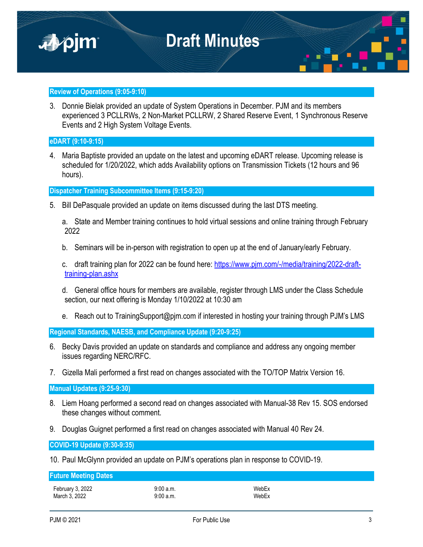

### **Review of Operations (9:05-9:10)**

3. Donnie Bielak provided an update of System Operations in December. PJM and its members experienced 3 PCLLRWs, 2 Non-Market PCLLRW, 2 Shared Reserve Event, 1 Synchronous Reserve Events and 2 High System Voltage Events.

### **eDART (9:10-9:15)**

4. Maria Baptiste provided an update on the latest and upcoming eDART release. Upcoming release is scheduled for 1/20/2022, which adds Availability options on Transmission Tickets (12 hours and 96 hours).

**Dispatcher Training Subcommittee Items (9:15-9:20)**

5. Bill DePasquale provided an update on items discussed during the last DTS meeting.

a. State and Member training continues to hold virtual sessions and online training through February 2022

b. Seminars will be in-person with registration to open up at the end of January/early February.

c. draft training plan for 2022 can be found here: [https://www.pjm.com/-/media/training/2022-draft](https://www.pjm.com/-/media/training/2022-draft-training-plan.ashx)[training-plan.ashx](https://www.pjm.com/-/media/training/2022-draft-training-plan.ashx)

d. General office hours for members are available, register through LMS under the Class Schedule section, our next offering is Monday 1/10/2022 at 10:30 am

e. Reach out to TrainingSupport@pim.com if interested in hosting your training through PJM's LMS

**Regional Standards, NAESB, and Compliance Update (9:20-9:25)**

- 6. Becky Davis provided an update on standards and compliance and address any ongoing member issues regarding NERC/RFC.
- 7. Gizella Mali performed a first read on changes associated with the TO/TOP Matrix Version 16.

**Manual Updates (9:25-9:30)**

- 8. Liem Hoang performed a second read on changes associated with Manual-38 Rev 15. SOS endorsed these changes without comment.
- 9. Douglas Guignet performed a first read on changes associated with Manual 40 Rev 24.

**COVID-19 Update (9:30-9:35)**

10. Paul McGlynn provided an update on PJM's operations plan in response to COVID-19.

## **Future Meeting Dates**

February 3, 2022 9:00 a.m. WebEx March 3, 2022 **9:00 a.m.** 9:00 a.m.